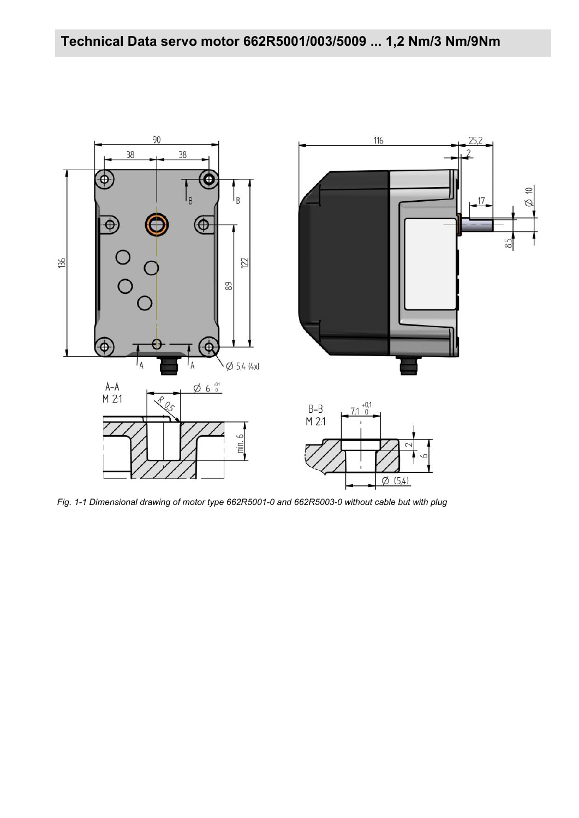

*Fig. 1-1 Dimensional drawing of motor type 662R5001-0 and 662R5003-0 without cable but with plug*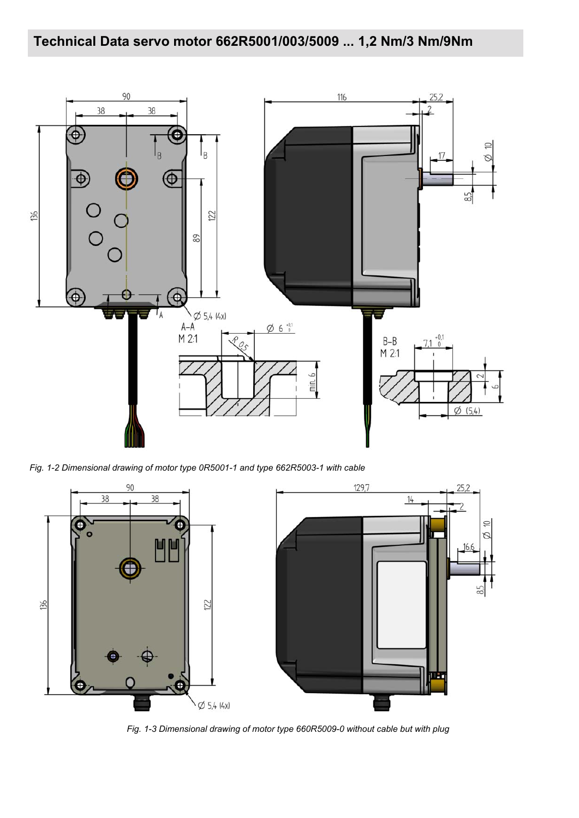# **Technical Data servo motor 662R5001/003/5009 ... 1,2 Nm/3 Nm/9Nm**



*Fig. 1-2 Dimensional drawing of motor type 0R5001-1 and type 662R5003-1 with cable*



*Fig. 1-3 Dimensional drawing of motor type 660R5009-0 without cable but with plug*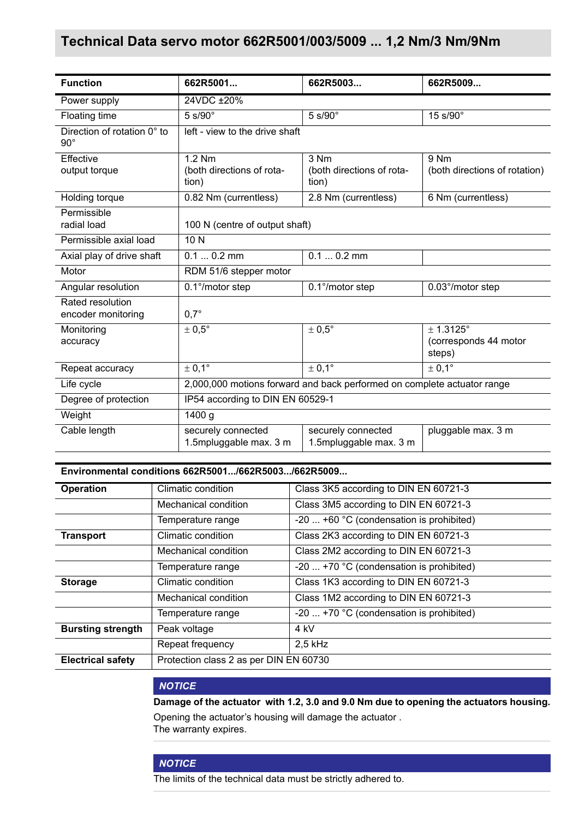### **Technical Data servo motor 662R5001/003/5009 ... 1,2 Nm/3 Nm/9Nm**

| <b>Function</b>                           | 662R5001                                                                | 662R5003                                     | 662R5009                                     |
|-------------------------------------------|-------------------------------------------------------------------------|----------------------------------------------|----------------------------------------------|
| Power supply                              | 24VDC ±20%                                                              |                                              |                                              |
| Floating time                             | 5 s/90°                                                                 | $5 s/90^\circ$                               | 15 s/90°                                     |
| Direction of rotation 0° to<br>$90^\circ$ | left - view to the drive shaft                                          |                                              |                                              |
| Effective<br>output torque                | 1.2 Nm<br>(both directions of rota-<br>tion)                            | 3 Nm<br>(both directions of rota-<br>tion)   | 9 Nm<br>(both directions of rotation)        |
| Holding torque                            | 0.82 Nm (currentless)                                                   | 2.8 Nm (currentless)                         | 6 Nm (currentless)                           |
| Permissible<br>radial load                | 100 N (centre of output shaft)                                          |                                              |                                              |
| Permissible axial load                    | 10N                                                                     |                                              |                                              |
| Axial play of drive shaft                 | $0.10.2$ mm                                                             | $0.10.2$ mm                                  |                                              |
| Motor                                     | RDM 51/6 stepper motor                                                  |                                              |                                              |
| Angular resolution                        | 0.1°/motor step                                                         | 0.1°/motor step                              | 0.03°/motor step                             |
| Rated resolution<br>encoder monitoring    | $0.7^\circ$                                                             |                                              |                                              |
| Monitoring<br>accuracy                    | $\pm 0.5^{\circ}$                                                       | $\pm 0.5^{\circ}$                            | ± 1.3125°<br>(corresponds 44 motor<br>steps) |
| Repeat accuracy                           | $\pm 0.1^{\circ}$                                                       | $\pm$ 0,1 $^{\circ}$                         | ± 0.1°                                       |
| Life cycle                                | 2,000,000 motions forward and back performed on complete actuator range |                                              |                                              |
| Degree of protection                      | IP54 according to DIN EN 60529-1                                        |                                              |                                              |
| Weight                                    | 1400 g                                                                  |                                              |                                              |
| Cable length                              | securely connected<br>1.5mpluggable max. 3 m                            | securely connected<br>1.5mpluggable max. 3 m | pluggable max. 3 m                           |

**Environmental conditions 662R5001.../662R5003.../662R5009...**

| <b>Operation</b>         | Climatic condition                     | Class 3K5 according to DIN EN 60721-3           |  |
|--------------------------|----------------------------------------|-------------------------------------------------|--|
|                          | Mechanical condition                   | Class 3M5 according to DIN EN 60721-3           |  |
|                          | Temperature range                      | $-20$ +60 °C (condensation is prohibited)       |  |
| <b>Transport</b>         | Climatic condition                     | Class 2K3 according to DIN EN 60721-3           |  |
|                          | Mechanical condition                   | Class 2M2 according to DIN EN 60721-3           |  |
|                          | Temperature range                      | -20 $\dots$ +70 °C (condensation is prohibited) |  |
| <b>Storage</b>           | Climatic condition                     | Class 1K3 according to DIN EN 60721-3           |  |
|                          | Mechanical condition                   | Class 1M2 according to DIN EN 60721-3           |  |
|                          | Temperature range                      | -20 $\dots$ +70 °C (condensation is prohibited) |  |
| <b>Bursting strength</b> | Peak voltage                           | 4 kV                                            |  |
|                          | Repeat frequency                       | $2,5$ kHz                                       |  |
| <b>Electrical safety</b> | Protection class 2 as per DIN EN 60730 |                                                 |  |

### *NOTICE*

**Damage of the actuator with 1.2, 3.0 and 9.0 Nm due to opening the actuators housing.**

Opening the actuator's housing will damage the actuator . The warranty expires.

#### *NOTICE*

The limits of the technical data must be strictly adhered to.